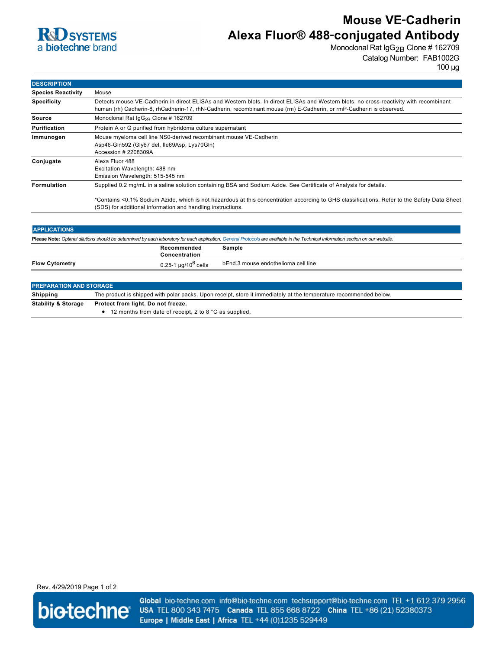

# **Mouse VE**‑**Cadherin Alexa Fluor® 488**‑**conjugated Antibody**

Monoclonal Rat IgG<sub>2B</sub> Clone # 162709 Catalog Number: FAB1002G

100 µg

| <b>DESCRIPTION</b>        |                                                                                                                                                                                                                                                               |  |
|---------------------------|---------------------------------------------------------------------------------------------------------------------------------------------------------------------------------------------------------------------------------------------------------------|--|
| <b>Species Reactivity</b> | Mouse                                                                                                                                                                                                                                                         |  |
| <b>Specificity</b>        | Detects mouse VE-Cadherin in direct ELISAs and Western blots. In direct ELISAs and Western blots, no cross-reactivity with recombinant<br>human (rh) Cadherin-8, rhCadherin-17, rhN-Cadherin, recombinant mouse (rm) E-Cadherin, or rmP-Cadherin is observed. |  |
| <b>Source</b>             | Monoclonal Rat $\lg G_{2R}$ Clone # 162709                                                                                                                                                                                                                    |  |
| <b>Purification</b>       | Protein A or G purified from hybridoma culture supernatant                                                                                                                                                                                                    |  |
| Immunogen                 | Mouse myeloma cell line NS0-derived recombinant mouse VE-Cadherin<br>Asp46-Gln592 (Gly67 del, Ile69Asp, Lys70Gln)<br>Accession # 2208309A                                                                                                                     |  |
| Conjugate                 | Alexa Fluor 488<br>Excitation Wavelength: 488 nm<br>Emission Wavelength: 515-545 nm                                                                                                                                                                           |  |
| <b>Formulation</b>        | Supplied 0.2 mg/mL in a saline solution containing BSA and Sodium Azide. See Certificate of Analysis for details.                                                                                                                                             |  |
|                           | *Contains <0.1% Sodium Azide, which is not hazardous at this concentration according to GHS classifications. Refer to the Safety Data Sheet<br>(SDS) for additional information and handling instructions.                                                    |  |

| <b>APPLICATIONS</b>                                                                                                                                                               |                                    |                                     |  |  |
|-----------------------------------------------------------------------------------------------------------------------------------------------------------------------------------|------------------------------------|-------------------------------------|--|--|
| Please Note: Optimal dilutions should be determined by each laboratory for each application. General Protocols are available in the Technical Information section on our website. |                                    |                                     |  |  |
|                                                                                                                                                                                   | Recommended<br>Concentration       | Sample                              |  |  |
| <b>Flow Cytometry</b>                                                                                                                                                             | $0.25$ -1 µg/10 <sup>6</sup> cells | bEnd.3 mouse endothelioma cell line |  |  |
| and the state of the state of the state of the state of the state of the state of the state of the state of th                                                                    |                                    |                                     |  |  |

| <b>PREPARATION AND STORAGE</b>                                       |                                                                                                                   |  |
|----------------------------------------------------------------------|-------------------------------------------------------------------------------------------------------------------|--|
| Shipping                                                             | The product is shipped with polar packs. Upon receipt, store it immediately at the temperature recommended below. |  |
| <b>Stability &amp; Storage</b><br>Protect from light. Do not freeze. |                                                                                                                   |  |
|                                                                      | $\bullet$ 12 months from date of receipt, 2 to 8 °C as supplied.                                                  |  |

Rev. 4/29/2019 Page 1 of 2



Global bio-techne.com info@bio-techne.com techsupport@bio-techne.com TEL +1 612 379 2956 USA TEL 800 343 7475 Canada TEL 855 668 8722 China TEL +86 (21) 52380373 Europe | Middle East | Africa TEL +44 (0)1235 529449